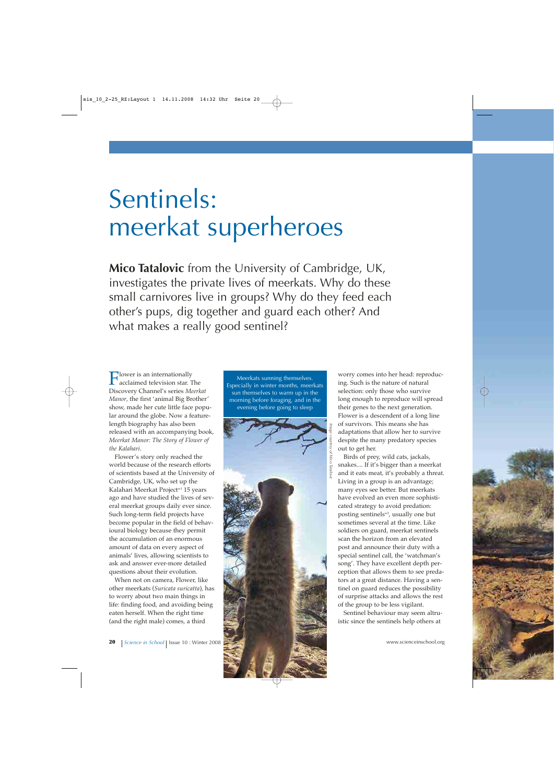# Sentinels: meerkat superheroes

**Mico Tatalovic** from the University of Cambridge, UK, investigates the private lives of meerkats. Why do these small carnivores live in groups? Why do they feed each other's pups, dig together and guard each other? And what makes a really good sentinel?

 $\prod_{\text{acclaimed television star. The}\atop C}$ Discovery Channel's series *Meerkat Manor*, the first 'animal Big Brother' show, made her cute little face popular around the globe. Now a featurelength biography has also been released with an accompanying book, *Meerkat Manor: The Story of Flower of the Kalahari*.

Flower's story only reached the world because of the research efforts of scientists based at the University of Cambridge, UK, who set up the Kalahari Meerkat Project<sup>w1</sup> 15 years ago and have studied the lives of several meerkat groups daily ever since. Such long-term field projects have become popular in the field of behavioural biology because they permit the accumulation of an enormous amount of data on every aspect of animals' lives, allowing scientists to ask and answer ever-more detailed questions about their evolution.

When not on camera, Flower, like other meerkats (*Suricata suricatta*), has to worry about two main things in life: finding food, and avoiding being eaten herself. When the right time (and the right male) comes, a third

Meerkats sunning themselves. Especially in winter months, meerkats sun themselves to warm up in the morning before foraging, and in the evening before going to sleep



worry comes into her head: reproducing. Such is the nature of natural selection: only those who survive long enough to reproduce will spread their genes to the next generation. Flower is a descendent of a long line of survivors. This means she has adaptations that allow her to survive despite the many predatory species out to get her.

Birds of prey, wild cats, jackals, snakes.... If it's bigger than a meerkat and it eats meat, it's probably a threat. Living in a group is an advantage; many eyes see better. But meerkats have evolved an even more sophisticated strategy to avoid predation: posting sentinels<sup>w2</sup>, usually one but sometimes several at the time. Like soldiers on guard, meerkat sentinels scan the horizon from an elevated post and announce their duty with a special sentinel call, the 'watchman's song'. They have excellent depth perception that allows them to see predators at a great distance. Having a sentinel on guard reduces the possibility of surprise attacks and allows the rest of the group to be less vigilant.

Sentinel behaviour may seem altruistic since the sentinels help others at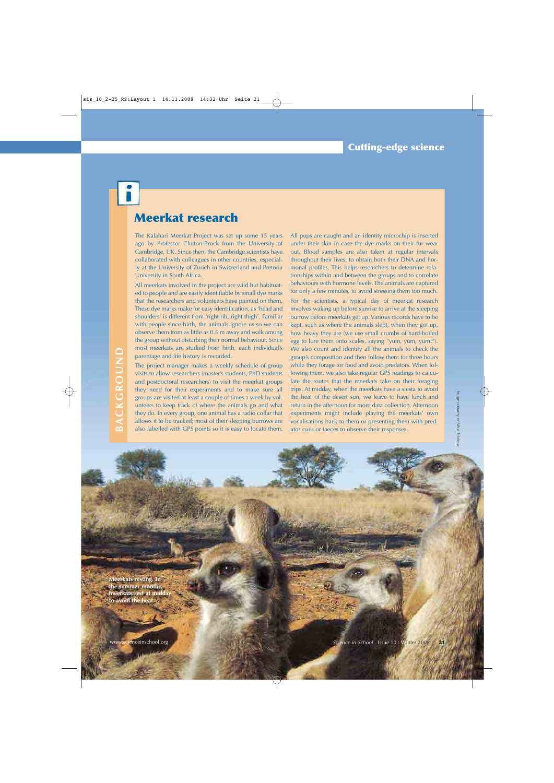## **Meerkat research**

The Kalahari Meerkat Project was set up some 15 years ago by Professor Clutton-Brock from the University of Cambridge, UK. Since then, the Cambridge scientists have collaborated with colleagues in other countries, especially at the University of Zurich in Switzerland and Pretoria University in South Africa.

All meerkats involved in the project are wild but habituated to people and are easily identifiable by small dye marks that the researchers and volunteers have painted on them. These dye marks make for easy identification, as 'head and shoulders' is different from 'right rib, right thigh'. Familiar with people since birth, the animals ignore us so we can observe them from as little as 0.5 m away and walk among the group without disturbing their normal behaviour. Since most meerkats are studied from birth, each individual's parentage and life history is recorded.

The project manager makes a weekly schedule of group visits to allow researchers (master's students, PhD students and postdoctoral researchers) to visit the meerkat groups they need for their experiments and to make sure all groups are visited at least a couple of times a week by volunteers to keep track of where the animals go and what they do. In every group, one animal has a radio collar that allows it to be tracked; most of their sleeping burrows are also labelled with GPS points so it is easy to locate them.

All pups are caught and an identity microchip is inserted under their skin in case the dye marks on their fur wear out. Blood samples are also taken at regular intervals throughout their lives, to obtain both their DNA and hormonal profiles. This helps researchers to determine relationships within and between the groups and to correlate behaviours with hormone levels. The animals are captured for only a few minutes, to avoid stressing them too much.

For the scientists, a typical day of meerkat research involves waking up before sunrise to arrive at the sleeping burrow before meerkats get up. Various records have to be kept, such as where the animals slept, when they got up, how heavy they are (we use small crumbs of hard-boiled egg to lure them onto scales, saying "yum, yum, yum!"). We also count and identify all the animals to check the group's composition and then follow them for three hours while they forage for food and avoid predators. When following them, we also take regular GPS readings to calculate the routes that the meerkats take on their foraging trips. At midday, when the meerkats have a siesta to avoid the heat of the desert sun, we leave to have lunch and return in the afternoon for more data collection. Afternoon experiments might include playing the meerkats' own vocalisations back to them or presenting them with predator cues or faeces to observe their responses.

*Image courtesy of Mico Tatalovic*

Image courtesy of Mico Tatalovic

**Meerkats resting. In the summer months, meerkats rest at midday to avoid the heat**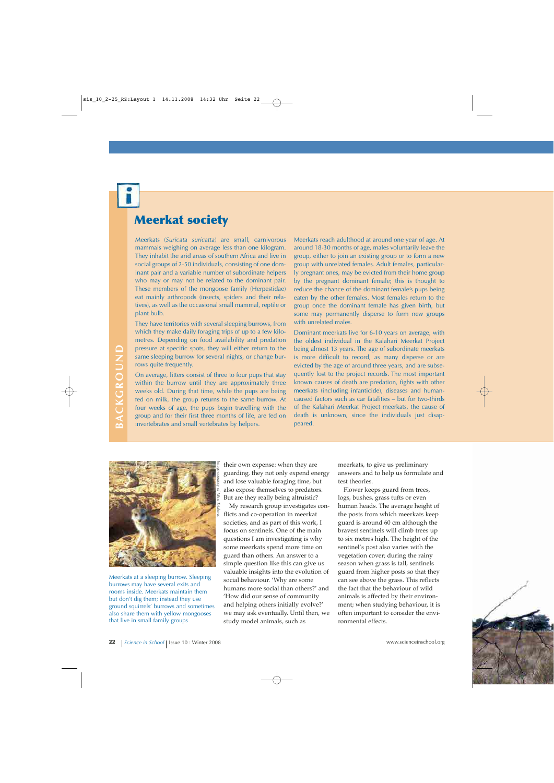## **Meerkat society**

Meerkats (*Suricata suricatta*) are small, carnivorous mammals weighing on average less than one kilogram. They inhabit the arid areas of southern Africa and live in social groups of 2-50 individuals, consisting of one dominant pair and a variable number of subordinate helpers who may or may not be related to the dominant pair. These members of the mongoose family (Herpestidae) eat mainly arthropods (insects, spiders and their relatives), as well as the occasional small mammal, reptile or plant bulb.

They have territories with several sleeping burrows, from which they make daily foraging trips of up to a few kilometres. Depending on food availability and predation pressure at specific spots, they will either return to the same sleeping burrow for several nights, or change burrows quite frequently.

On average, litters consist of three to four pups that stay within the burrow until they are approximately three weeks old. During that time, while the pups are being fed on milk, the group returns to the same burrow. At four weeks of age, the pups begin travelling with the group and for their first three months of life, are fed on invertebrates and small vertebrates by helpers.

Meerkats reach adulthood at around one year of age. At around 18-30 months of age, males voluntarily leave the group, either to join an existing group or to form a new group with unrelated females. Adult females, particularly pregnant ones, may be evicted from their home group by the pregnant dominant female; this is thought to reduce the chance of the dominant female's pups being eaten by the other females. Most females return to the group once the dominant female has given birth, but some may permanently disperse to form new groups with unrelated males.

Dominant meerkats live for 6-10 years on average, with the oldest individual in the Kalahari Meerkat Project being almost 13 years. The age of subordinate meerkats is more difficult to record, as many disperse or are evicted by the age of around three years, and are subsequently lost to the project records. The most important known causes of death are predation, fights with other meerkats (including infanticide), diseases and humancaused factors such as car fatalities – but for two-thirds of the Kalahari Meerkat Project meerkats, the cause of death is unknown, since the individuals just disappeared.



Meerkats at a sleeping burrow. Sleeping burrows may have several exits and rooms inside. Meerkats maintain them but don't dig them; instead they use ground squirrels' burrows and sometimes also share them with yellow mongooses that live in small family groups

their own expense: when they are guarding, they not only expend energy and lose valuable foraging time, but also expose themselves to predators. But are they really being altruistic?

My research group investigates conflicts and co-operation in meerkat societies, and as part of this work, I focus on sentinels. One of the main questions I am investigating is why some meerkats spend more time on guard than others. An answer to a simple question like this can give us valuable insights into the evolution of social behaviour. 'Why are some humans more social than others?' and 'How did our sense of community and helping others initially evolve?' we may ask eventually. Until then, we study model animals, such as

meerkats, to give us preliminary answers and to help us formulate and test theories.

Flower keeps guard from trees, logs, bushes, grass tufts or even human heads. The average height of the posts from which meerkats keep guard is around 60 cm although the bravest sentinels will climb trees up to six metres high. The height of the sentinel's post also varies with the vegetation cover; during the rainy season when grass is tall, sentinels guard from higher posts so that they can see above the grass. This reflects the fact that the behaviour of wild animals is affected by their environment; when studying behaviour, it is often important to consider the environmental effects.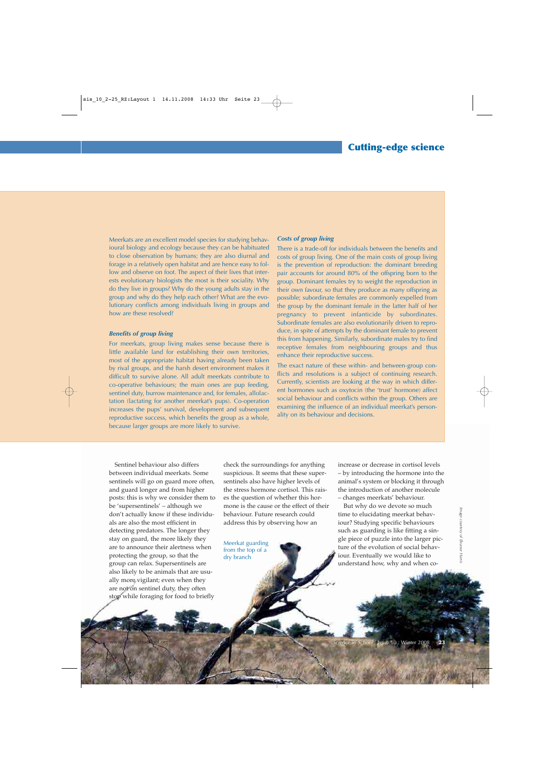Meerkats are an excellent model species for studying behavioural biology and ecology because they can be habituated to close observation by humans; they are also diurnal and forage in a relatively open habitat and are hence easy to follow and observe on foot. The aspect of their lives that interests evolutionary biologists the most is their sociality. Why do they live in groups? Why do the young adults stay in the group and why do they help each other? What are the evolutionary conflicts among individuals living in groups and how are these resolved?

#### *Benefits of group living*

For meerkats, group living makes sense because there is little available land for establishing their own territories, most of the appropriate habitat having already been taken by rival groups, and the harsh desert environment makes it difficult to survive alone. All adult meerkats contribute to co-operative behaviours; the main ones are pup feeding, sentinel duty, burrow maintenance and, for females, allolactation (lactating for another meerkat's pups). Co-operation increases the pups' survival, development and subsequent reproductive success, which benefits the group as a whole, because larger groups are more likely to survive.

#### *Costs of group living*

There is a trade-off for individuals between the benefits and costs of group living. One of the main costs of group living is the prevention of reproduction: the dominant breeding pair accounts for around 80% of the offspring born to the group. Dominant females try to weight the reproduction in their own favour, so that they produce as many offspring as possible; subordinate females are commonly expelled from the group by the dominant female in the latter half of her pregnancy to prevent infanticide by subordinates. Subordinate females are also evolutionarily driven to reproduce, in spite of attempts by the dominant female to prevent this from happening. Similarly, subordinate males try to find receptive females from neighbouring groups and thus enhance their reproductive success.

The exact nature of these within- and between-group conflicts and resolutions is a subject of continuing research. Currently, scientists are looking at the way in which different hormones such as oxytocin (the 'trust' hormone) affect social behaviour and conflicts within the group. Others are examining the influence of an individual meerkat's personality on its behaviour and decisions.

Sentinel behaviour also differs between individual meerkats. Some sentinels will go on guard more often, and guard longer and from higher posts: this is why we consider them to be 'supersentinels' – although we don't actually know if these individuals are also the most efficient in detecting predators. The longer they stay on guard, the more likely they are to announce their alertness when protecting the group, so that the group can relax. Supersentinels are also likely to be animals that are usually more vigilant; even when they are not on sentinel duty, they often stop while foraging for food to briefly

check the surroundings for anything suspicious. It seems that these supersentinels also have higher levels of the stress hormone cortisol. This raises the question of whether this hormone is the cause or the effect of their behaviour. Future research could address this by observing how an

Meerkat guarding from the top of a dry branch

increase or decrease in cortisol levels – by introducing the hormone into the animal's system or blocking it through the introduction of another molecule – changes meerkats' behaviour.

But why do we devote so much time to elucidating meerkat behaviour? Studying specific behaviours such as guarding is like fitting a single piece of puzzle into the larger picture of the evolution of social behaviour. Eventually we would like to understand how, why and when co-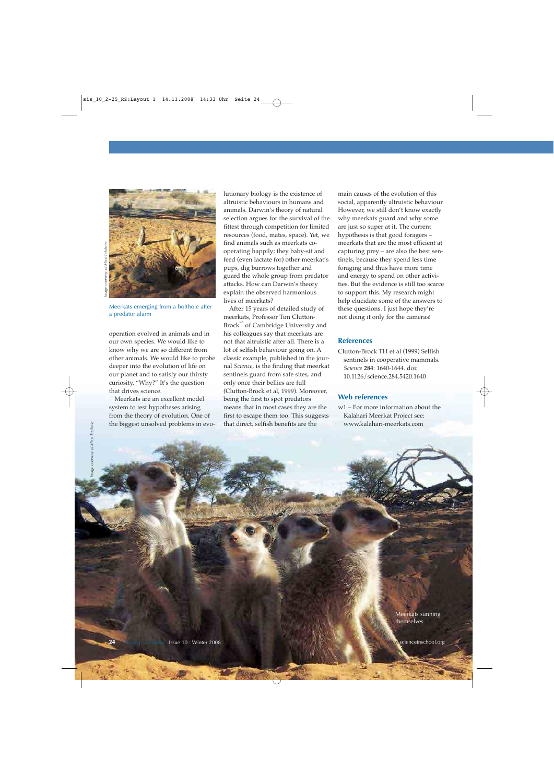

Meerkats emerging from a bolthole after a predator alarm

operation evolved in animals and in our own species. We would like to know why we are so different from other animals. We would like to probe deeper into the evolution of life on our planet and to satisfy our thirsty curiosity. "Why?" It's the question that drives science.

Meerkats are an excellent model system to test hypotheses arising from the theory of evolution. One of the biggest unsolved problems in evolutionary biology is the existence of altruistic behaviours in humans and animals. Darwin's theory of natural selection argues for the survival of the fittest through competition for limited resources (food, mates, space). Yet, we find animals such as meerkats cooperating happily; they baby-sit and feed (even lactate for) other meerkat's pups, dig burrows together and guard the whole group from predator attacks. How can Darwin's theory explain the observed harmonious lives of meerkats?

After 15 years of detailed study of meerkats, Professor Tim Clutton-Brock<sup>w3</sup> of Cambridge University and his colleagues say that meerkats are not that altruistic after all. There is a lot of selfish behaviour going on. A classic example, published in the journal *Science*, is the finding that meerkat sentinels guard from safe sites, and only once their bellies are full (Clutton-Brock et al, 1999). Moreover, being the first to spot predators means that in most cases they are the first to escape them too. This suggests that direct, selfish benefits are the

main causes of the evolution of this social, apparently altruistic behaviour. However, we still don't know exactly why meerkats guard and why some are just so super at it. The current hypothesis is that good foragers – meerkats that are the most efficient at capturing prey – are also the best sentinels, because they spend less time foraging and thus have more time and energy to spend on other activities. But the evidence is still too scarce to support this. My research might help elucidate some of the answers to these questions. I just hope they're not doing it only for the cameras!

#### **References**

Clutton-Brock TH et al (1999) Selfish sentinels in cooperative mammals. *Science* **284**: 1640-1644. doi: 10.1126/science.284.5420.1640

#### **Web references**

w1 – For more information about the Kalahari Meerkat Project see: www.kalahari-meerkats.com

> Meerkats sunning themselves